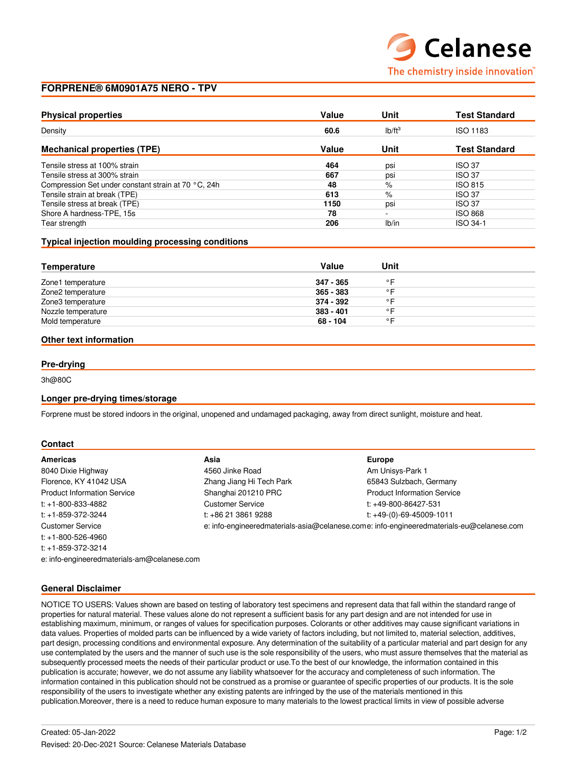## **FORPRENE® 6M0901A75 NERO - TPV**

| <b>Physical properties</b>                          | Value | Unit               | <b>Test Standard</b> |
|-----------------------------------------------------|-------|--------------------|----------------------|
| Density                                             | 60.6  | Ib/ft <sup>3</sup> | <b>ISO 1183</b>      |
| <b>Mechanical properties (TPE)</b>                  | Value | Unit               | <b>Test Standard</b> |
| Tensile stress at 100% strain                       | 464   | psi                | <b>ISO 37</b>        |
| Tensile stress at 300% strain                       | 667   | psi                | <b>ISO 37</b>        |
| Compression Set under constant strain at 70 °C, 24h | 48    | $\%$               | <b>ISO 815</b>       |
| Tensile strain at break (TPE)                       | 613   | %                  | <b>ISO 37</b>        |
| Tensile stress at break (TPE)                       | 1150  | psi                | <b>ISO 37</b>        |
| Shore A hardness-TPE, 15s                           | 78    | $\sim$             | <b>ISO 868</b>       |
| Tear strength                                       | 206   | Ib/in              | ISO 34-1             |

#### **Typical injection moulding processing conditions**

| Value       | Unit           |  |
|-------------|----------------|--|
| 347 - 365   | $\circ$ $\Box$ |  |
| 365 - 383   | $\circ$ $\Box$ |  |
| 374 - 392   | $\circ$ $\Box$ |  |
| $383 - 401$ | $\circ$ $\Box$ |  |
| 68 - 104    | ◦⊏             |  |
|             |                |  |

#### **Other text information**

### **Pre-drying**

3h@80C

#### **Longer pre-drying times/storage**

Forprene must be stored indoors in the original, unopened and undamaged packaging, away from direct sunlight, moisture and heat.

#### **Contact**

| Americas                                    | Asia                                                                                     | <b>Europe</b>                      |  |
|---------------------------------------------|------------------------------------------------------------------------------------------|------------------------------------|--|
| 8040 Dixie Highway                          | 4560 Jinke Road                                                                          | Am Unisys-Park 1                   |  |
| Florence, KY 41042 USA                      | Zhang Jiang Hi Tech Park                                                                 | 65843 Sulzbach, Germany            |  |
| <b>Product Information Service</b>          | Shanghai 201210 PRC                                                                      | <b>Product Information Service</b> |  |
| $t$ : +1-800-833-4882                       | <b>Customer Service</b>                                                                  | t: $+49-800-86427-531$             |  |
| $t: +1 - 859 - 372 - 3244$                  | t: +86 21 3861 9288                                                                      | t: $+49-(0)-69-45009-1011$         |  |
| <b>Customer Service</b>                     | e: info-engineeredmaterials-asia@celanese.come: info-engineeredmaterials-eu@celanese.com |                                    |  |
| $t: +1-800-526-4960$                        |                                                                                          |                                    |  |
| $t: +1 - 859 - 372 - 3214$                  |                                                                                          |                                    |  |
| e: info-engineeredmaterials-am@celanese.com |                                                                                          |                                    |  |

#### **General Disclaimer**

NOTICE TO USERS: Values shown are based on testing of laboratory test specimens and represent data that fall within the standard range of properties for natural material. These values alone do not represent a sufficient basis for any part design and are not intended for use in establishing maximum, minimum, or ranges of values for specification purposes. Colorants or other additives may cause significant variations in data values. Properties of molded parts can be influenced by a wide variety of factors including, but not limited to, material selection, additives, part design, processing conditions and environmental exposure. Any determination of the suitability of a particular material and part design for any use contemplated by the users and the manner of such use is the sole responsibility of the users, who must assure themselves that the material as subsequently processed meets the needs of their particular product or use.To the best of our knowledge, the information contained in this publication is accurate; however, we do not assume any liability whatsoever for the accuracy and completeness of such information. The information contained in this publication should not be construed as a promise or guarantee of specific properties of our products. It is the sole responsibility of the users to investigate whether any existing patents are infringed by the use of the materials mentioned in this publication.Moreover, there is a need to reduce human exposure to many materials to the lowest practical limits in view of possible adverse